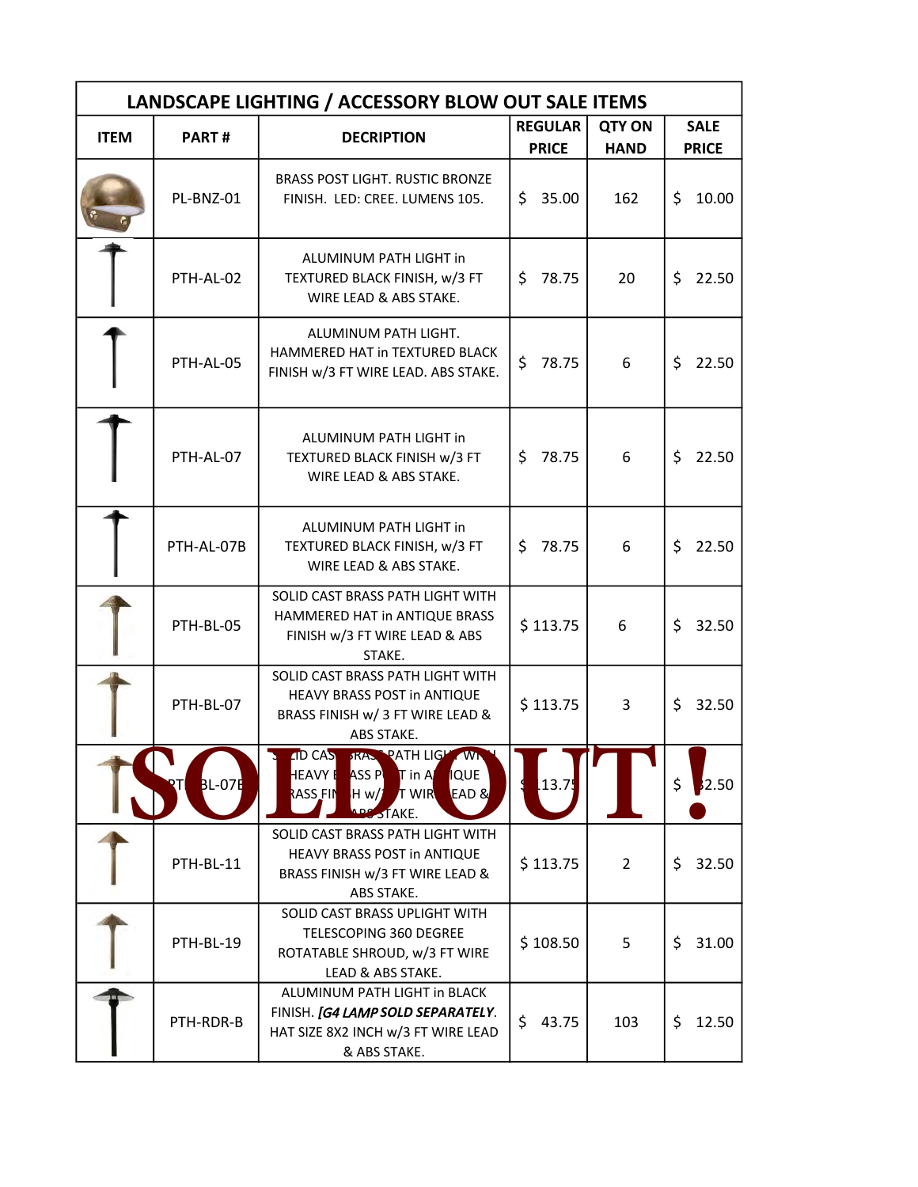| LANDSCAPE LIGHTING / ACCESSORY BLOW OUT SALE ITEMS |                      |                                                                                                                                              |                                |                              |                             |  |  |  |
|----------------------------------------------------|----------------------|----------------------------------------------------------------------------------------------------------------------------------------------|--------------------------------|------------------------------|-----------------------------|--|--|--|
| <b>ITEM</b>                                        | PART#                | <b>DECRIPTION</b>                                                                                                                            | <b>REGULAR</b><br><b>PRICE</b> | <b>QTY ON</b><br><b>HAND</b> | <b>SALE</b><br><b>PRICE</b> |  |  |  |
|                                                    | PL-BNZ-01            | BRASS POST LIGHT. RUSTIC BRONZE<br>FINISH. LED: CREE. LUMENS 105.                                                                            | \$.<br>35.00                   | 162                          | \$<br>10.00                 |  |  |  |
|                                                    | PTH-AL-02            | ALUMINUM PATH LIGHT in<br>TEXTURED BLACK FINISH, w/3 FT<br>WIRE LEAD & ABS STAKE.                                                            | 78.75<br>\$                    | 20                           | \$<br>22.50                 |  |  |  |
|                                                    | PTH-AL-05            | ALUMINUM PATH LIGHT.<br>HAMMERED HAT in TEXTURED BLACK<br>FINISH w/3 FT WIRE LEAD. ABS STAKE.                                                | \$<br>78.75                    | 6                            | \$<br>22.50                 |  |  |  |
|                                                    | PTH-AL-07            | ALUMINUM PATH LIGHT in<br>TEXTURED BLACK FINISH w/3 FT<br>WIRE LEAD & ABS STAKE.                                                             | \$<br>78.75                    | 6                            | \$<br>22.50                 |  |  |  |
|                                                    | PTH-AL-07B           | ALUMINUM PATH LIGHT in<br>TEXTURED BLACK FINISH, w/3 FT<br>WIRE LEAD & ABS STAKE.                                                            | 78.75<br>\$                    | 6                            | Ś<br>22.50                  |  |  |  |
|                                                    | PTH-BL-05            | SOLID CAST BRASS PATH LIGHT WITH<br>HAMMERED HAT in ANTIQUE BRASS<br>FINISH w/3 FT WIRE LEAD & ABS<br>STAKE.                                 | \$113.75                       | 6                            | 32.50<br>\$                 |  |  |  |
|                                                    | PTH-BL-07            | SOLID CAST BRASS PATH LIGHT WITH<br>HEAVY BRASS POST in ANTIQUE<br>BRASS FINISH w/ 3 FT WIRE LEAD &<br>ABS STAKE.                            | \$113.75                       | 3                            | \$<br>32.50                 |  |  |  |
|                                                    | <b>BL-07E</b><br>RTI | <b>ID CAS FRAME PATH LIGHT WINNI</b><br>HEAVY EASS PUT in A<br><b>QUE</b><br>EAD &<br>RASS FIN<br><b>T</b> WIR<br>H w/1<br><b>ADS STAKE.</b> | 13.75                          |                              | \$<br>2.50                  |  |  |  |
|                                                    | PTH-BL-11            | SOLID CAST BRASS PATH LIGHT WITH<br>HEAVY BRASS POST in ANTIQUE<br>BRASS FINISH w/3 FT WIRE LEAD &<br>ABS STAKE.                             | \$113.75                       | $\overline{2}$               | 32.50<br>\$                 |  |  |  |
|                                                    | PTH-BL-19            | SOLID CAST BRASS UPLIGHT WITH<br>TELESCOPING 360 DEGREE<br>ROTATABLE SHROUD, w/3 FT WIRE<br>LEAD & ABS STAKE.                                | \$108.50                       | 5                            | \$.<br>31.00                |  |  |  |
|                                                    | PTH-RDR-B            | ALUMINUM PATH LIGHT in BLACK<br>FINISH. [G4 LAMP SOLD SEPARATELY.<br>HAT SIZE 8X2 INCH w/3 FT WIRE LEAD<br>& ABS STAKE.                      | \$<br>43.75                    | 103                          | 12.50<br>\$                 |  |  |  |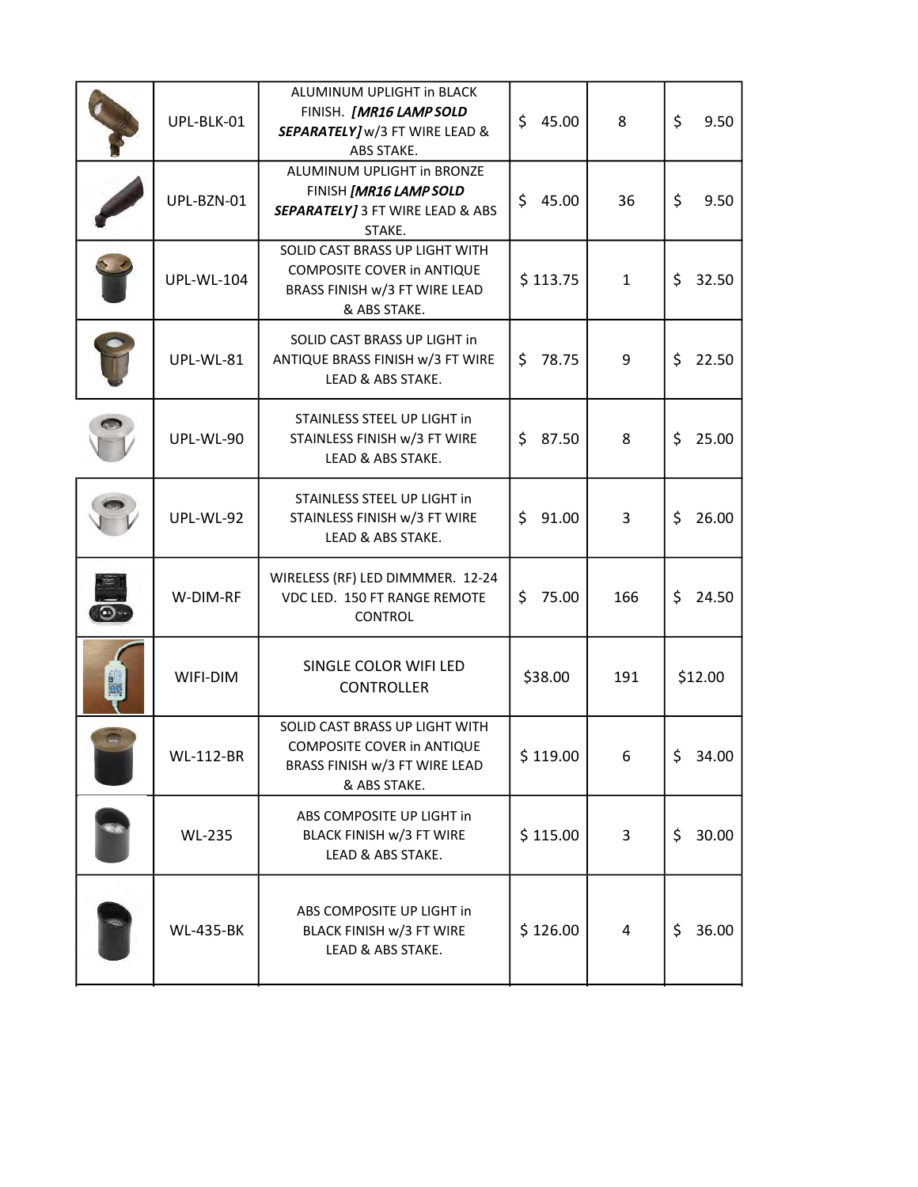| UPL-BLK-01        | ALUMINUM UPLIGHT in BLACK<br>FINISH. [MR16 LAMP SOLD<br>SEPARATELY] w/3 FT WIRE LEAD &<br>ABS STAKE.          | \$<br>45.00  | 8            | \$<br>9.50  |
|-------------------|---------------------------------------------------------------------------------------------------------------|--------------|--------------|-------------|
| UPL-BZN-01        | ALUMINUM UPLIGHT in BRONZE<br>FINISH [MR16 LAMP SOLD<br>SEPARATELY] 3 FT WIRE LEAD & ABS<br>STAKE.            | \$45.00      | 36           | \$<br>9.50  |
| <b>UPL-WL-104</b> | SOLID CAST BRASS UP LIGHT WITH<br>COMPOSITE COVER in ANTIQUE<br>BRASS FINISH w/3 FT WIRE LEAD<br>& ABS STAKE. | \$113.75     | $\mathbf{1}$ | \$<br>32.50 |
| UPL-WL-81         | SOLID CAST BRASS UP LIGHT in<br>ANTIQUE BRASS FINISH w/3 FT WIRE<br>LEAD & ABS STAKE.                         | \$.<br>78.75 | 9            | \$<br>22.50 |
| UPL-WL-90         | STAINLESS STEEL UP LIGHT in<br>STAINLESS FINISH w/3 FT WIRE<br>LEAD & ABS STAKE.                              | \$.<br>87.50 | 8            | \$<br>25.00 |
| UPL-WL-92         | STAINLESS STEEL UP LIGHT in<br>STAINLESS FINISH w/3 FT WIRE<br>LEAD & ABS STAKE.                              | \$91.00      | 3            | \$<br>26.00 |
| W-DIM-RF          | WIRELESS (RF) LED DIMMMER. 12-24<br>VDC LED. 150 FT RANGE REMOTE<br><b>CONTROL</b>                            | \$<br>75.00  | 166          | \$<br>24.50 |
| WIFI-DIM          | SINGLE COLOR WIFI LED<br><b>CONTROLLER</b>                                                                    | \$38.00      | 191          | \$12.00     |
| <b>WL-112-BR</b>  | SOLID CAST BRASS UP LIGHT WITH<br>COMPOSITE COVER in ANTIQUE<br>BRASS FINISH w/3 FT WIRE LEAD<br>& ABS STAKE. | \$119.00     | 6            | \$<br>34.00 |
| <b>WL-235</b>     | ABS COMPOSITE UP LIGHT in<br>BLACK FINISH w/3 FT WIRE<br>LEAD & ABS STAKE.                                    | \$115.00     | 3            | 30.00<br>\$ |
| <b>WL-435-BK</b>  | ABS COMPOSITE UP LIGHT in<br>BLACK FINISH w/3 FT WIRE<br>LEAD & ABS STAKE.                                    | \$126.00     | 4            | \$<br>36.00 |